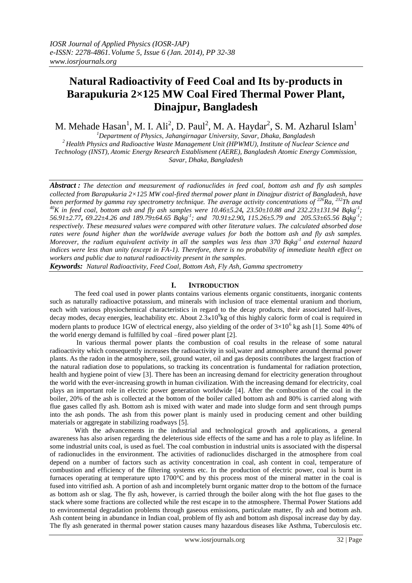# **Natural Radioactivity of Feed Coal and Its by-products in Barapukuria 2×125 MW Coal Fired Thermal Power Plant, Dinajpur, Bangladesh**

M. Mehade Hasan<sup>1</sup>, M. I. Ali<sup>2</sup>, D. Paul<sup>2</sup>, M. A. Haydar<sup>2</sup>, S. M. Azharul Islam<sup>1</sup>

*<sup>1</sup>Department of Physics, Jahangirnagar University, Savar, Dhaka, Bangladesh*

*<sup>2</sup>Health Physics and Radioactive Waste Management Unit (HPWMU), Institute of Nuclear Science and Technology (INST), Atomic Energy Research Establisment (AERE), Bangladesh Atomic Energy Commission, Savar, Dhaka, Bangladesh*

*Abstract : The detection and measurement of radionuclides in feed coal, bottom ash and fly ash samples collected from Barapukuria 2×125 MW coal-fired thermal power plant in Dinajpur district of Bangladesh, have been performed by gamma ray spectrometry technique. The average activity concentrations of <sup>226</sup>Ra, <sup>232</sup>Th and <sup>40</sup>K in feed coal, bottom ash and fly ash samples were 10.46±5.24, 23.50±10.88 and 232.23±131.94 Bqkg-1 ; 56.91±2.77, 69.22±4.26 and 189.79±64.65 Bqkg-1 ; and 70.91±2.90, 115.26±5.79 and 205.53±65.56 Bqkg-1 ; respectively. These measured values were compared with other literature values. The calculated absorbed dose rates were found higher than the worldwide average values for both the bottom ash and fly ash samples. Moreover, the radium equivalent activity in all the samples was less than 370 Bqkg<sup>-1</sup> and external hazard indices were less than unity (except in FA-1). Therefore, there is no probability of immediate health effect on workers and public due to natural radioactivity present in the samples.*

*Keywords: Natural Radioactivity, Feed Coal, Bottom Ash, Fly Ash, Gamma spectrometry* 

# **I. INTRODUCTION**

 The feed coal used in power plants contains various elements organic constituents, inorganic contents such as naturally radioactive potassium, and minerals with inclusion of trace elemental uranium and thorium, each with various physiochemical characteristics in regard to the decay products, their associated half-lives, decay modes, decay energies, leachability etc. About  $2.3 \times 10^9$ kg of this highly caloric form of coal is required in modern plants to produce 1GW of electrical energy, also yielding of the order of  $3\times10^6$  kg ash [1]. Some 40% of the world energy demand is fulfilled by coal –fired power plant [2].

 In various thermal power plants the combustion of coal results in the release of some natural radioactivity which consequently increases the radioactivity in soil,water and atmosphere around thermal power plants. As the radon in the atmosphere, soil, ground water, oil and gas deposits contributes the largest fraction of the natural radiation dose to populations, so tracking its concentration is fundamental for radiation protection, health and hygiene point of view [3]. There has been an increasing demand for electricity generation throughout the world with the ever-increasing growth in human civilization. With the increasing demand for electricity, coal plays an important role in electric power generation worldwide [4]. After the combustion of the coal in the boiler, 20% of the ash is collected at the bottom of the boiler called bottom ash and 80% is carried along with flue gases called fly ash. Bottom ash is mixed with water and made into sludge form and sent through pumps into the ash ponds. The ash from this power plant is mainly used in producing cement and other building materials or aggregate in stabilizing roadways [5].

 With the advancements in the industrial and technological growth and applications, a general awareness has also arisen regarding the deleterious side effects of the same and has a role to play as lifeline. In some industrial units coal, is used as fuel. The coal combustion in industrial units is associated with the dispersal of radionuclides in the environment. The activities of radionuclides discharged in the atmosphere from coal depend on a number of factors such as activity concentration in coal, ash content in coal, temperature of combustion and efficiency of the filtering systems etc. In the production of electric power, coal is burnt in furnaces operating at temperature upto 1700°C and by this process most of the mineral matter in the coal is fused into vitrified ash. A portion of ash and incompletely burnt organic matter drop to the bottom of the furnace as bottom ash or slag. The fly ash, however, is carried through the boiler along with the hot flue gases to the stack where some fractions are collected while the rest escape in to the atmosphere. Thermal Power Stations add to environmental degradation problems through gaseous emissions, particulate matter, fly ash and bottom ash. Ash content being in abundance in Indian coal, problem of fly ash and bottom ash disposal increase day by day. The fly ash generated in thermal power station causes many hazardous diseases like Asthma, Tuberculosis etc.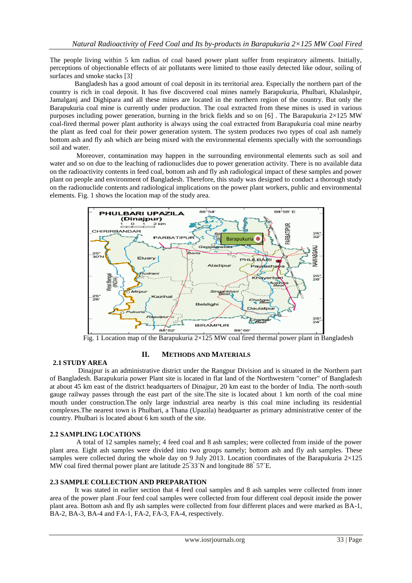The people living within 5 km radius of coal based power plant suffer from respiratory ailments. Initially, perceptions of objectionable effects of air pollutants were limited to those easily detected like odour, soiling of surfaces and smoke stacks [3].

 Bangladesh has a good amount of coal deposit in its territorial area. Especially the northern part of the country is rich in coal deposit. It has five discovered coal mines namely Barapukuria, Phulbari, Khalashpir, Jamalganj and Dighipara and all these mines are located in the northern region of the country. But only the Barapukuria coal mine is currently under production. The coal extracted from these mines is used in various purposes including power generation, burning in the brick fields and so on [6] . The Barapukuria 2×125 MW coal-fired thermal power plant authority is always using the coal extracted from Barapukuria coal mine nearby the plant as feed coal for their power generation system. The system produces two types of coal ash namely bottom ash and fly ash which are being mixed with the environmental elements specially with the sorroundings soil and water.

 Moreover, contamination may happen in the surrounding environmental elements such as soil and water and so on due to the leaching of radionuclides due to power generation activity. There is no available data on the radioactivity contents in feed coal, bottom ash and fly ash radiological impact of these samples and power plant on people and environment of Bangladesh. Therefore, this study was designed to conduct a thorough study on the radionuclide contents and radiological implications on the power plant workers, public and environmental elements. Fig. 1 shows the location map of the study area.



Fig. 1 Location map of the Barapukuria  $2\times125$  MW coal fired thermal power plant in Bangladesh

# **II. METHODS AND MATERIALS**

# **2.1 STUDY AREA**

 Dinajpur is an administrative district under the Rangpur Division and is situated in the Northern part of Bangladesh. Barapukuria power Plant site is located in flat land of the Northwestern "corner" of Bangladesh at about 45 km east of the district headquarters of Dinajpur, 20 km east to the border of India. The north-south gauge railway passes through the east part of the site.The site is located about 1 km north of the coal mine mouth under construction.The only large industrial area nearby is this coal mine including its residential complexes.The nearest town is Phulbari, a Thana (Upazila) headquarter as primary administrative center of the country. Phulbari is located about 6 km south of the site.

# **2.2 SAMPLING LOCATIONS**

 A total of 12 samples namely; 4 feed coal and 8 ash samples; were collected from inside of the power plant area. Eight ash samples were divided into two groups namely; bottom ash and fly ash samples. These samples were collected during the whole day on 9 July 2013. Location coordinates of the Barapukuria 2×125 MW coal fired thermal power plant are latitude  $25^{\circ}33^{\prime}N$  and longitude  $88^{\circ}57^{\prime}E$ .

# **2.3 SAMPLE COLLECTION AND PREPARATION**

 It was stated in earlier section that 4 feed coal samples and 8 ash samples were collected from inner area of the power plant .Four feed coal samples were collected from four different coal deposit inside the power plant area. Bottom ash and fly ash samples were collected from four different places and were marked as BA-1, BA-2, BA-3, BA-4 and FA-1, FA-2, FA-3, FA-4, respectively.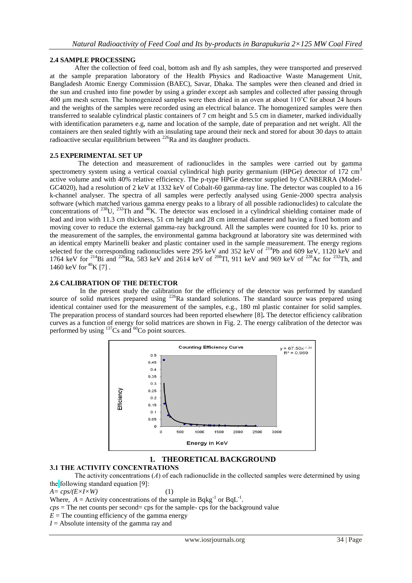# **2.4 SAMPLE PROCESSING**

 After the collection of feed coal, bottom ash and fly ash samples, they were transported and preserved at the sample preparation laboratory of the Health Physics and Radioactive Waste Management Unit, Bangladesh Atomic Energy Commission (BAEC), Savar, Dhaka. The samples were then cleaned and dried in the sun and crushed into fine powder by using a grinder except ash samples and collected after passing through 400 µm mesh screen. The homogenized samples were then dried in an oven at about 110˚C for about 24 hours and the weights of the samples were recorded using an electrical balance. The homogenized samples were then transferred to sealable cylindrical plastic containers of 7 cm height and 5.5 cm in diameter, marked individually with identification parameters e.g, name and location of the sample, date of preparation and net weight. All the containers are then sealed tightly with an insulating tape around their neck and stored for about 30 days to attain radioactive secular equilibrium between <sup>226</sup>Ra and its daughter products.

# **2.5 EXPERIMENTAL SET UP**

 The detection and measurement of radionuclides in the samples were carried out by gamma spectrometry system using a vertical coaxial cylindrical high purity germanium (HPGe) detector of 172 cm<sup>3</sup> active volume and with 40% relative efficiency. The p-type HPGe detector supplied by CANBERRA (Model-GC4020), had a resolution of 2 keV at 1332 keV of Cobalt-60 gamma-ray line. The detector was coupled to a 16 k-channel analyser. The spectra of all samples were perfectly analysed using Genie-2000 spectra analysis software (which matched various gamma energy peaks to a library of all possible radionuclides) to calculate the concentrations of <sup>238</sup>U, <sup>232</sup>Th and <sup>40</sup>K. The detector was enclosed in a cylindrical shielding container made of lead and iron with 11.3 cm thickness, 51 cm height and 28 cm internal diameter and having a fixed bottom and moving cover to reduce the external gamma-ray background. All the samples were counted for 10 ks. prior to the measurement of the samples, the environmental gamma background at laboratory site was determined with an identical empty Marinelli beaker and plastic container used in the sample measurement. The energy regions selected for the corresponding radionuclides were 295 keV and 352 keV of  $^{214}$ Pb and 609 keV, 1120 keV and 1764 keV for <sup>214</sup>Bi and <sup>226</sup>Ra, 583 keV and 2614 keV of <sup>208</sup>Tl, 911 keV and 969 keV of <sup>228</sup>Ac for <sup>232</sup>Th, and 1460 keV for  ${}^{40}$ K [7].

# **2.6 CALIBRATION OF THE DETECTOR**

 In the present study the calibration for the efficiency of the detector was performed by standard source of solid matrices prepared using <sup>226</sup>Ra standard solutions. The standard source was prepared using identical container used for the measurement of the samples, e.g., 180 ml plastic container for solid samples. The preparation process of standard sources had been reported elsewhere [8]**.** The detector efficiency calibration curves as a function of energy for solid matrices are shown in Fig. 2. The energy calibration of the detector was performed by using  $137$ Cs and  $60$ Co point sources.



# **1. THEORETICAL BACKGROUND**

# **3.1 THE ACTIVITY CONCENTRATIONS**

 The activity concentrations (*A*) of each radionuclide in the collected samples were determined by using the following standard equation [9]:

 $A = \frac{cps}{E \times I \times W}$  (1)

Where,  $A =$  Activity concentrations of the sample in Bqkg<sup>-1</sup> or BqL<sup>-1</sup>.

 $cps =$ The net counts per second= cps for the sample- cps for the background value

 $E =$ The counting efficiency of the gamma energy

*I* = Absolute intensity of the gamma ray and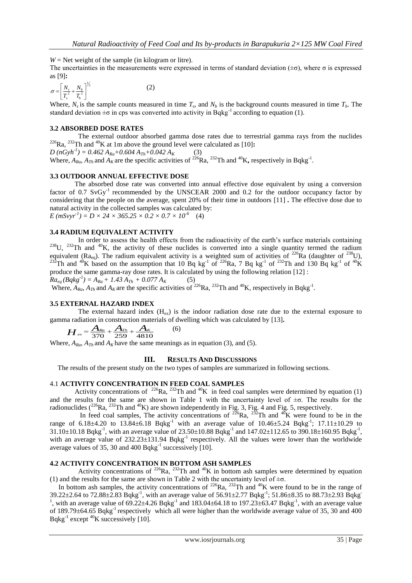$W =$  Net weight of the sample (in kilogram or litre).

The uncertainties in the measurements were expressed in terms of standard deviation ( $\pm \sigma$ ), where  $\sigma$  is expressed as [9]**:** 

$$
\sigma = \left[\frac{N_s}{T_s^2} + \frac{N_b}{T_b^2}\right]^{1/2} \tag{2}
$$

Where,  $N_s$  is the sample counts measured in time  $T_s$ , and  $N_b$  is the background counts measured in time  $T_b$ . The standard deviation  $\pm \sigma$  in cps was converted into activity in Bqkg<sup>-1</sup> according to equation (1).

# **3.2 ABSORBED DOSE RATES**

 The external outdoor absorbed gamma dose rates due to terrestrial gamma rays from the nuclides  $226$ Ra,  $232$ Th and  $40$ K at 1m above the ground level were calculated as [10]:

 $D (nGyh^{-1}) = 0.462 A_{Ra} + 0.604 A_{Th} + 0.042 A_K$  (3) Where,  $A_{Ra}$ ,  $A_{Th}$  and  $A_K$  are the specific activities of <sup>226</sup>Ra, <sup>232</sup>Th and <sup>40</sup>K, respectively in Bqkg<sup>-1</sup>.

#### **3.3 OUTDOOR ANNUAL EFFECTIVE DOSE**

 The absorbed dose rate was converted into annual effective dose equivalent by using a conversion factor of 0.7 SvGy<sup>-1</sup> recommended by the UNSCEAR 2000 and 0.2 for the outdoor occupancy factor by considering that the people on the average, spent 20% of their time in outdoors [11] **.** The effective dose due to natural activity in the collected samples was calculated by:  $E(mSvyr^{-1}) = D \times 24 \times 365.25 \times 0.2 \times 0.7 \times 10^{-6}$  (4)

#### **3.4 RADIUM EQUIVALENT ACTIVITY**

 In order to assess the health effects from the radioactivity of the earth's surface materials containing <sup>238</sup>U, <sup>232</sup>Th and <sup>40</sup>K, the activity of these nuclides is converted into a single quantity termed the radium equivalent (Ra<sub>eq</sub>). The radium equivalent activity is a weighted sum of activities of <sup>226</sup>Ra (daughter of <sup>238</sup>U), <sup>232</sup>Th and <sup>40</sup>K based on the assumption that 10 Bq kg<sup>-1</sup> of <sup>226</sup>Ra, 7 Bq kg<sup>-1</sup> of <sup>232</sup>Th and 130 Bq kg<sup>-1</sup> of <sup>40</sup>K produce the same gamma-ray dose rates. It is calculated by using the following relation [12] :

$$
Ra_{eq}(Bqkg^{-1}) = A_{Ra} + 1.43 A_{Th} + 0.077 A_K
$$
 (5)

Where,  $A_{Ra}$ ,  $A_{Th}$  and  $A_K$  are the specific activities of <sup>226</sup>Ra, <sup>232</sup>Th and <sup>40</sup>K, respectively in Bqkg<sup>-1</sup>.

# **3.5 EXTERNAL HAZARD INDEX**

The external hazard index  $(H_{ex})$  is the indoor radiation dose rate due to the external exposure to gamma radiation in construction materials of dwelling which was calculated by [13].<br>  $\boldsymbol{H}_{ex} = \frac{\boldsymbol{A}_{Ra}}{370} + \frac{\boldsymbol{A}_{Th}}{259} + \frac{\boldsymbol{A}_{K}}{4810}$  (6)

$$
H_{ex} = \frac{A_{Ra}}{370} + \frac{A_{Th}}{259} + \frac{A_K}{4810}
$$
 (6)

Where,  $A_{R\omega}$ ,  $A_{Th}$  and  $A_K$  have the same meanings as in equation (3), and (5).

#### **III. RESULTS AND DISCUSSIONS**

The results of the present study on the two types of samples are summarized in following sections.

# 4.1 **ACTIVITY CONCENTRATION IN FEED COAL SAMPLES**

Activity concentrations of <sup>226</sup>Ra, <sup>232</sup>Th and <sup>40</sup>K in feed coal samples were determined by equation (1) and the results for the same are shown in Table 1 with the uncertainty level of  $\pm\sigma$ . The results for the radionuclides  $(^{226}Ra, ^{232}Th$  and  $^{40}K$ ) are shown independently in Fig. 3, Fig. 4 and Fig. 5, respectively.

In feed coal samples, The activity concentrations of  $^{226}Ra$ ,  $^{232}Th$  and  $^{40}K$  were found to be in the range of 6.18 $\pm$ 4.20 to 13.84 $\pm$ 6.18 Bqkg<sup>-1</sup> with an average value of 10.46 $\pm$ 5.24 Bqkg<sup>-1</sup>; 17.11 $\pm$ 10.29 to  $31.10\pm10.18$  Bqkg<sup>-1</sup>, with an average value of  $23.50\pm10.88$  Bqkg<sup>-1</sup> and  $147.02\pm112.65$  to  $390.18\pm160.95$  Bqkg<sup>-1</sup>, with an average value of  $232.23\pm131.94$  Bqkg<sup>-1</sup> respectively. All the values were lower than the worldwide average values of 35, 30 and 400  $Bqkg^{-1}$  successively [10].

# **4.2 ACTIVITY CONCENTRATION IN BOTTOM ASH SAMPLES**

Activity concentrations of  $^{226}$ Ra,  $^{232}$ Th and  $^{40}$ K in bottom ash samples were determined by equation (1) and the results for the same are shown in Table 2 with the uncertainty level of  $\pm \sigma$ .

In bottom ash samples, the activity concentrations of  $^{226}Ra$ ,  $^{232}Th$  and  $^{40}K$  were found to be in the range of 39.22 $\pm$ 2.64 to 72.88 $\pm$ 2.83 Bqkg<sup>-1</sup>, with an average value of 56.91 $\pm$ 2.77 Bqkg<sup>-1</sup>; 51.86 $\pm$ 8.35 to 88.73 $\pm$ 2.93 Bqkg<sup>-1</sup> <sup>1</sup>, with an average value of  $69.22 \pm 4.26$  Bqkg<sup>-1</sup> and  $183.04 \pm 64.18$  to  $197.23 \pm 63.47$  Bqkg<sup>-1</sup>, with an average value of 189.79 $\pm$ 64.65 Bqkg<sup>-1</sup> respectively which all were higher than the worldwide average value of 35, 30 and 400 Bqkg<sup>-1</sup> except  $^{40}$ K successively [10].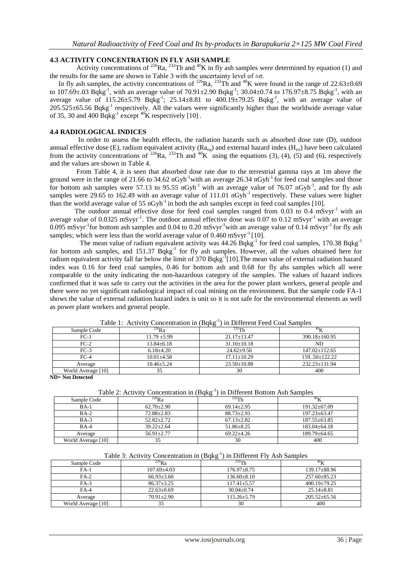# **4.3 ACTIVITY CONCENTRATION IN FLY ASH SAMPLE**

Activity concentrations of  $^{226}$ Ra,  $^{232}$ Th and  $^{40}$ K in fly ash samples were determined by equation (1) and the results for the same are shown in Table 3 with the uncertainty level of  $\pm \sigma$ .

In fly ash samples, the activity concentrations of <sup>226</sup>Ra, <sup>232</sup>Th and <sup>40</sup>K were found in the range of 22.63 $\pm$ 0.69 to 107.69 $\pm$ .03 Bqkg<sup>-1</sup>, with an average value of 70.91 $\pm$ 2.90 Bqkg<sup>-1</sup>; 30.04 $\pm$ 0.74 to 176.97 $\pm$ 8.75 Bqkg<sup>-1</sup>, with an average value of  $115.26 \pm 5.79$  Bqkg<sup>-1</sup>;  $25.14 \pm 8.81$  to  $400.19 \pm 79.25$  Bqkg<sup>-1</sup>, with an average value of  $205.525\pm65.56$  Bqkg<sup>-1</sup> respectively. All the values were significantly higher than the worldwide average value of 35, 30 and 400  $Bqkg^{-1}$  except <sup>40</sup>K respectively [10].

# **4.4 RADIOLOGICAL INDICES**

 In order to assess the health effects, the radiation hazards such as absorbed dose rate (D), outdoor annual effective dose (E), radium equivalent activity ( $Ra_{eq}$ ) and external hazard index ( $H_{ex}$ ) have been calculated from the activity concentrations of  $^{226}$ Ra,  $^{232}$ Th and  $^{40}$ K using the equations (3), (4), (5) and (6), respectively and the values are shown in Table 4.

 From Table 4, it is seen that absorbed dose rate due to the terrestrial gamma rays at 1m above the ground were in the range of 21.66 to 34.62 nGyh<sup>-1</sup>with an average 26.34 nGyh<sup>-1</sup> for feed coal samples and those for bottom ash samples were 57.13 to  $95.55 \text{ nGyh}^{-1}$  with an average value of 76.07 nGyh<sup>-1</sup>, and for fly ash samples were 29.65 to 162.49 with an average value of  $111.01 \text{ nGyh}^{-1}$  respectively. These values were higher than the world average value of 55 nGyh<sup>-1</sup> in both the ash samples except in feed coal samples [10].

The outdoor annual effective dose for feed coal samples ranged from 0.03 to 0.4 mSvyr<sup>-1</sup> with an average value of  $0.0325 \text{ mSvyr}^{-1}$ . The outdoor annual effective dose was  $0.07$  to  $0.12 \text{ mSvyr}^{-1}$  with an average 0.095 mSvyr<sup>-1</sup>for bottom ash samples and 0.04 to 0.20 mSvyr<sup>-1</sup>with an average value of 0.14 mSvyr<sup>-1</sup> for fly ash samples; which were less than the world average value of  $0.460 \text{ mSvyr}^{-1}$  [10].

The mean value of radium equivalent activity was  $44.26$  Bqkg<sup>-1</sup> for feed coal samples, 170.38 Bqkg<sup>-1</sup> for bottom ash samples, and 151.37 Bqkg<sup>-1</sup> for fly ash samples. However, all the values obtained here for radium equivalent activity fall far below the limit of 370 Bqkg<sup>-1</sup>[10]. The mean value of external radiation hazard index was 0.16 for feed coal samples, 0.46 for bottom ash and 0.68 for fly ahs samples which all were comparable to the unity indicating the non-hazardous category of the samples. The values of hazard indices confirmed that it was safe to carry out the activities in the area for the power plant workers, general people and there were no yet significant radiological impact of coal mining on the environment. But the sample code FA-1 shows the value of external radiation hazard index is unit so it is not safe for the environmental elements as well as power plant workers and general people.

|                    | $10010 + 110011$<br>$\epsilon$ concentration in $\epsilon$ pand | $\mu$ b $\mu$ of $\mu$ is a boundary of $\mu$ |                     |
|--------------------|-----------------------------------------------------------------|-----------------------------------------------|---------------------|
| Sample Code        | $^{226}$ Ra                                                     | $^{232}$ Th                                   | 40 <sub>U</sub>     |
| $FC-1$             | $11.79 \pm 5.99$                                                | $21.17 \pm 13.47$                             | 390.18±160.95       |
| $FC-2$             | $13.84 \pm 6.18$                                                | $31.10 \pm 10.18$                             | ND                  |
| $FC-3$             | $6.18{\pm}4.20$                                                 | $24.62 \pm 9.56$                              | $147.02 \pm 112.65$ |
| $FC-4$             | $10.01 + 4.58$                                                  | $17.11 \pm 10.29$                             | $159.50 \pm 122.22$ |
| Average            | $10.46 \pm 5.24$                                                | $23.50 \pm 10.88$                             | $232.23 \pm 131.94$ |
| World Average [10] | 35                                                              | 30                                            | 400                 |

Table 1: Activity Concentration in  $(Bqkg^{-1})$  in Different Feed Coal Samples

**ND= Not Detected**

|  |  | Table 2: Activity Concentration in (Bqkg <sup>-1</sup> ) in Different Bottom Ash Samples |
|--|--|------------------------------------------------------------------------------------------|
|  |  |                                                                                          |
|  |  |                                                                                          |
|  |  |                                                                                          |

| Sample Code        | $^{226}Ra$       | $^{232}$ Th      | 40 <sub>T</sub>    |
|--------------------|------------------|------------------|--------------------|
| $BA-1$             | $62.70 \pm 2.90$ | $69.14 + 2.95$   | $191.32 \pm 67.09$ |
| $BA-2$             | $72.88 + 2.83$   | $88.73 + 2.93$   | $197.23 \pm 63.47$ |
| $BA-3$             | $52.82 + 2.72$   | $67.13 \pm 2.82$ | $187.55 \pm 63.85$ |
| $BA-4$             | $39.22 + 2.64$   | $51.86 \pm 8.25$ | $183.04 + 64.18$   |
| Average            | $56.91 + 2.77$   | $69.22 + 4.26$   | $189.79 + 64.65$   |
| World Average [10] |                  | 30               | 400                |

# Table 3: Activity Concentration in (Bqkg<sup>-1</sup>) in Different Fly Ash Samples

| Sample Code        | $^{226}Ra$       | $232$ Th          | 40r                |
|--------------------|------------------|-------------------|--------------------|
| $FA-1$             | $107.69 + 4.03$  | $176.97 + 8.75$   | $139.17 \pm 88.96$ |
| $FA-2$             | $66.93 + 3.60$   | $136.60 + 8.10$   | $257.60 \pm 85.23$ |
| $FA-3$             | $86.37 + 3.25$   | $117.41 + 5.57$   | $400.19 + 79.25$   |
| $FA-4$             | $22.63 \pm 0.69$ | $30.04 + 0.74$    | $25.14 + 8.81$     |
| Average            | $70.91 + 2.90$   | $115.26 \pm 5.79$ | $205.52 + 65.56$   |
| World Average [10] | 35               | 30                | 400                |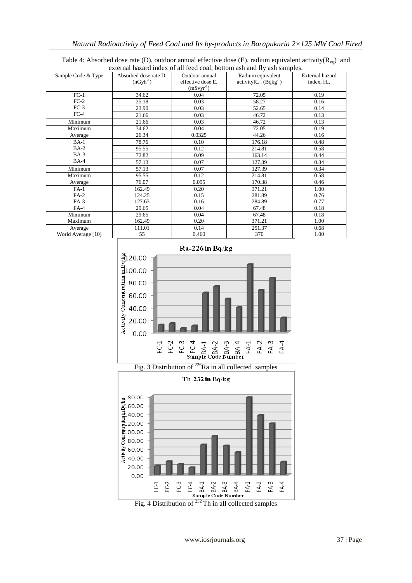|                    |                       |                   | external nazaru muex of all feed coal, bottom asn and hy asn samples. |                 |
|--------------------|-----------------------|-------------------|-----------------------------------------------------------------------|-----------------|
| Sample Code & Type | Absorbed dose rate D, | Outdoor annual    | Radium equivalent                                                     | External hazard |
|                    | $(nGyh^{-1})$         | effective dose E, | activity $R_{eq}$ , (Bqkg <sup>-1</sup> )                             | index, $H_{ex}$ |
|                    |                       | $(mSvyr^{-1})$    |                                                                       |                 |
| $FC-1$             | 34.62                 | 0.04              | 72.05                                                                 | 0.19            |
| $FC-2$             | 25.18                 | 0.03              | 58.27                                                                 | 0.16            |
| $FC-3$             | 23.90                 | 0.03              | 52.65                                                                 | 0.14            |
| $FC-4$             | 21.66                 | 0.03              | 46.72                                                                 | 0.13            |
| Minimum            | 21.66                 | 0.03              | 46.72                                                                 | 0.13            |
| Maximum            | 34.62                 | 0.04              | 72.05                                                                 | 0.19            |
| Average            | 26.34                 | 0.0325            | 44.26                                                                 | 0.16            |
| $BA-1$             | 78.76                 | 0.10              | 176.18                                                                | 0.48            |
| $BA-2$             | 95.55                 | 0.12              | 214.81                                                                | 0.58            |
| $BA-3$             | 72.82                 | 0.09              | 163.14                                                                | 0.44            |
| $BA-4$             | 57.13                 | 0.07              | 127.39                                                                | 0.34            |
| Minimum            | 57.13                 | 0.07              | 127.39                                                                | 0.34            |
| Maximum            | 95.55                 | 0.12              | 214.81                                                                | 0.58            |
| Average            | 76.07                 | 0.095             | 170.38                                                                | 0.46            |
| $FA-1$             | 162.49                | 0.20              | 371.21                                                                | 1.00            |
| $FA-2$             | 124.25                | 0.15              | 281.89                                                                | 0.76            |
| $FA-3$             | 127.63                | 0.16              | 284.89                                                                | 0.77            |
| $FA-4$             | 29.65                 | 0.04              | 67.48                                                                 | 0.18            |
| Minimum            | 29.65                 | 0.04              | 67.48                                                                 | 0.18            |
| Maximum            | 162.49                | 0.20              | 371.21                                                                | 1.00            |
| Average            | 111.01                | 0.14              | 251.37                                                                | 0.68            |
| World Average [10] | 55                    | 0.460             | 370                                                                   | 1.00            |

Table 4: Absorbed dose rate (D), outdoor annual effective dose (E), radium equivalent activity( $R_{eq}$ ) and external hazard index of all feed coal, bottom ash and fly ash samples.



Fig. 3 Distribution of  $^{226}$ Ra in all collected samples